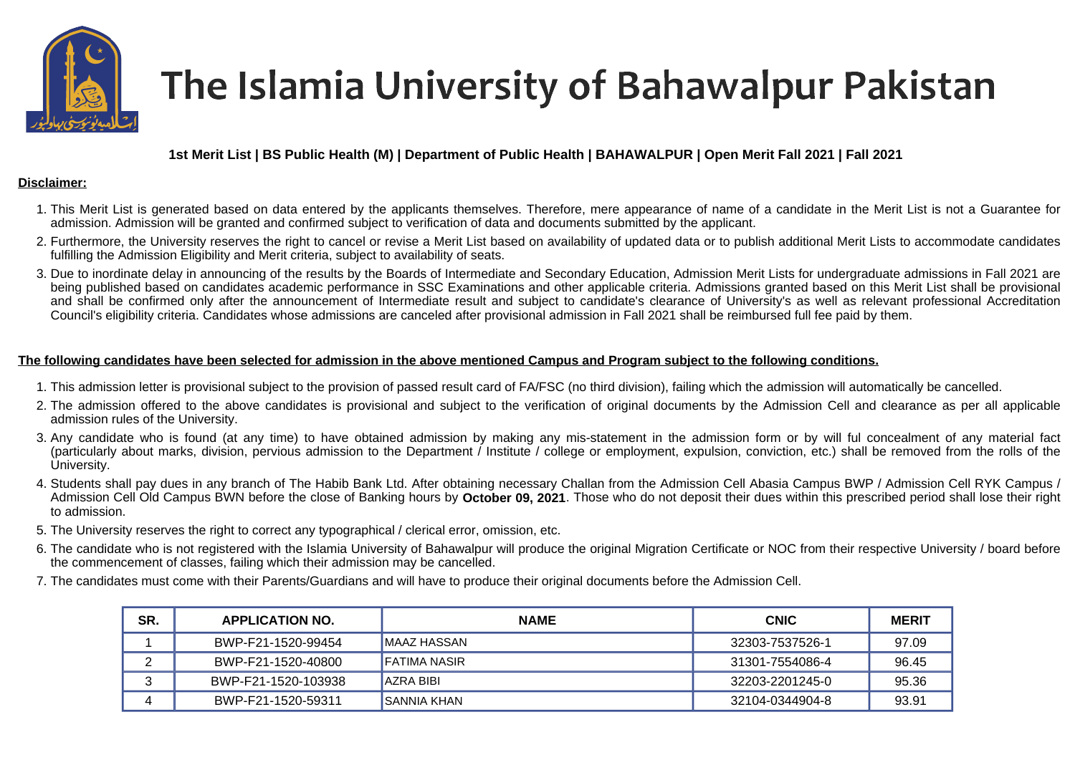

# The Islamia University of Bahawalpur Pakistan

## **1st Merit List | BS Public Health (M) | Department of Public Health | BAHAWALPUR | Open Merit Fall 2021 | Fall 2021**

#### **Disclaimer:**

- 1. This Merit List is generated based on data entered by the applicants themselves. Therefore, mere appearance of name of a candidate in the Merit List is not a Guarantee for admission. Admission will be granted and confirmed subject to verification of data and documents submitted by the applicant.
- 2. Furthermore, the University reserves the right to cancel or revise a Merit List based on availability of updated data or to publish additional Merit Lists to accommodate candidates fulfilling the Admission Eligibility and Merit criteria, subject to availability of seats.
- 3. Due to inordinate delay in announcing of the results by the Boards of Intermediate and Secondary Education, Admission Merit Lists for undergraduate admissions in Fall 2021 are being published based on candidates academic performance in SSC Examinations and other applicable criteria. Admissions granted based on this Merit List shall be provisional and shall be confirmed only after the announcement of Intermediate result and subject to candidate's clearance of University's as well as relevant professional Accreditation Council's eligibility criteria. Candidates whose admissions are canceled after provisional admission in Fall 2021 shall be reimbursed full fee paid by them.

### **The following candidates have been selected for admission in the above mentioned Campus and Program subject to the following conditions.**

- 1. This admission letter is provisional subject to the provision of passed result card of FA/FSC (no third division), failing which the admission will automatically be cancelled.
- 2. The admission offered to the above candidates is provisional and subject to the verification of original documents by the Admission Cell and clearance as per all applicable admission rules of the University.
- 3. Any candidate who is found (at any time) to have obtained admission by making any mis-statement in the admission form or by will ful concealment of any material fact (particularly about marks, division, pervious admission to the Department / Institute / college or employment, expulsion, conviction, etc.) shall be removed from the rolls of the University.
- 4. Students shall pay dues in any branch of The Habib Bank Ltd. After obtaining necessary Challan from the Admission Cell Abasia Campus BWP / Admission Cell RYK Campus / Admission Cell Old Campus BWN before the close of Banking hours by **October 09, 2021**. Those who do not deposit their dues within this prescribed period shall lose their right to admission.
- 5. The University reserves the right to correct any typographical / clerical error, omission, etc.
- 6. The candidate who is not registered with the Islamia University of Bahawalpur will produce the original Migration Certificate or NOC from their respective University / board before the commencement of classes, failing which their admission may be cancelled.
- 7. The candidates must come with their Parents/Guardians and will have to produce their original documents before the Admission Cell.

| SR. | <b>APPLICATION NO.</b> | <b>NAME</b>        | <b>CNIC</b>     | <b>MERIT</b> |
|-----|------------------------|--------------------|-----------------|--------------|
|     | BWP-F21-1520-99454     | IMAAZ HASSAN       | 32303-7537526-1 | 97.09        |
|     | BWP-F21-1520-40800     | IFATIMA NASIR      | 31301-7554086-4 | 96.45        |
|     | BWP-F21-1520-103938    | IAZRA BIBI         | 32203-2201245-0 | 95.36        |
|     | BWP-F21-1520-59311     | <b>SANNIA KHAN</b> | 32104-0344904-8 | 93.91        |